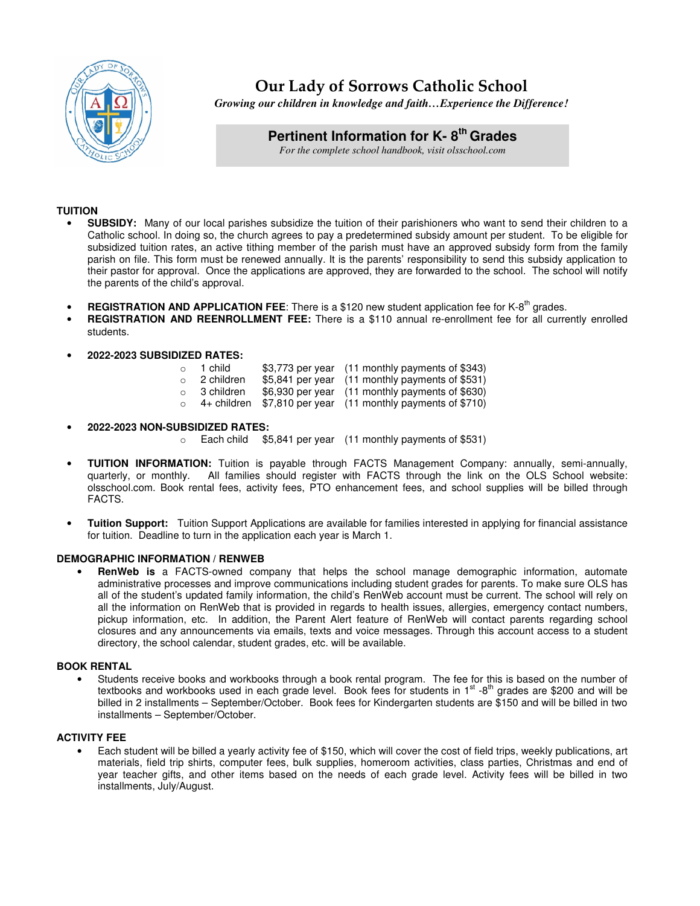

# **Our Lady of Sorrows Catholic School**

*Growing our children in knowledge and faith…Experience the Difference!*

# **Pertinent Information for K- 8th Grades**

*For the complete school handbook, visit olsschool.com* 

# **TUITION**

- **SUBSIDY:** Many of our local parishes subsidize the tuition of their parishioners who want to send their children to a Catholic school. In doing so, the church agrees to pay a predetermined subsidy amount per student. To be eligible for subsidized tuition rates, an active tithing member of the parish must have an approved subsidy form from the family parish on file. This form must be renewed annually. It is the parents' responsibility to send this subsidy application to their pastor for approval. Once the applications are approved, they are forwarded to the school. The school will notify the parents of the child's approval.
- **REGISTRATION AND APPLICATION FEE:** There is a \$120 new student application fee for K-8<sup>th</sup> grades.
- **REGISTRATION AND REENROLLMENT FEE:** There is a \$110 annual re-enrollment fee for all currently enrolled students.

#### • **2022-2023 SUBSIDIZED RATES:**

| $\circ$ | 1 child      | \$3,773 per year (11 monthly payments of \$343)             |
|---------|--------------|-------------------------------------------------------------|
|         | ○ 2 children | \$5,841 per year (11 monthly payments of \$531)             |
|         | ○ 3 children | \$6,930 per year (11 monthly payments of \$630)             |
|         |              | 4+ children \$7,810 per year (11 monthly payments of \$710) |

- **2022-2023 NON-SUBSIDIZED RATES:** 
	- o Each child \$5,841 per year (11 monthly payments of \$531)
- **TUITION INFORMATION:** Tuition is payable through FACTS Management Company: annually, semi-annually, quarterly, or monthly. All families should register with FACTS through the link on the OLS School website: olsschool.com. Book rental fees, activity fees, PTO enhancement fees, and school supplies will be billed through FACTS.
- **Tuition Support:** Tuition Support Applications are available for families interested in applying for financial assistance for tuition. Deadline to turn in the application each year is March 1.

#### **DEMOGRAPHIC INFORMATION / RENWEB**

• **RenWeb is** a FACTS-owned company that helps the school manage demographic information, automate administrative processes and improve communications including student grades for parents. To make sure OLS has all of the student's updated family information, the child's RenWeb account must be current. The school will rely on all the information on RenWeb that is provided in regards to health issues, allergies, emergency contact numbers, pickup information, etc. In addition, the Parent Alert feature of RenWeb will contact parents regarding school closures and any announcements via emails, texts and voice messages. Through this account access to a student directory, the school calendar, student grades, etc. will be available.

#### **BOOK RENTAL**

• Students receive books and workbooks through a book rental program. The fee for this is based on the number of textbooks and workbooks used in each grade level. Book fees for students in  $1<sup>st</sup>$  -8<sup>th</sup> grades are \$200 and will be billed in 2 installments – September/October. Book fees for Kindergarten students are \$150 and will be billed in two installments – September/October.

## **ACTIVITY FEE**

• Each student will be billed a yearly activity fee of \$150, which will cover the cost of field trips, weekly publications, art materials, field trip shirts, computer fees, bulk supplies, homeroom activities, class parties, Christmas and end of year teacher gifts, and other items based on the needs of each grade level. Activity fees will be billed in two installments, July/August.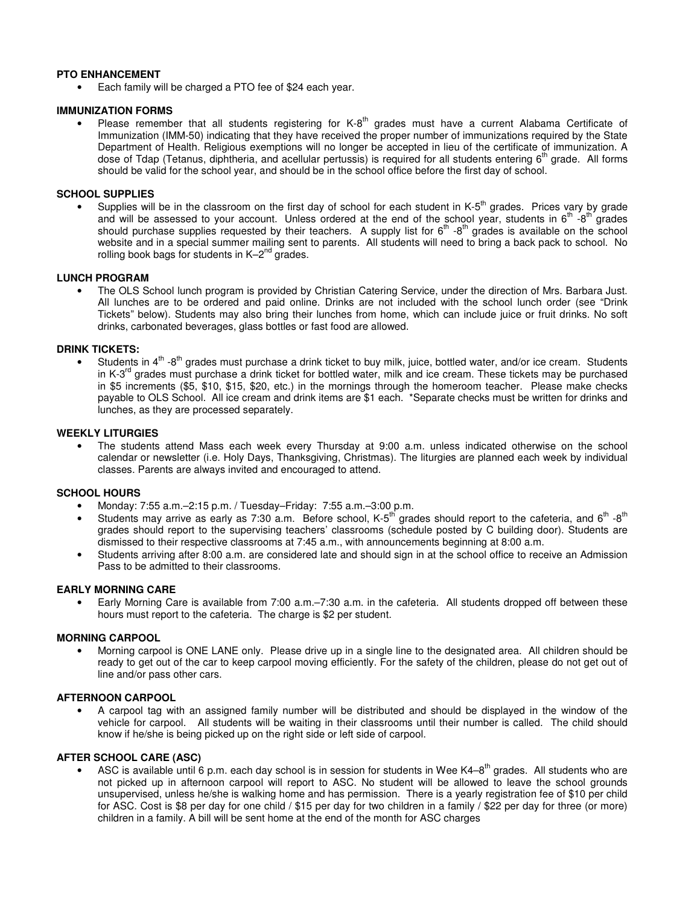#### **PTO ENHANCEMENT**

• Each family will be charged a PTO fee of \$24 each year.

#### **IMMUNIZATION FORMS**

• Please remember that all students registering for K-8<sup>th</sup> grades must have a current Alabama Certificate of Immunization (IMM-50) indicating that they have received the proper number of immunizations required by the State Department of Health. Religious exemptions will no longer be accepted in lieu of the certificate of immunization. A dose of Tdap (Tetanus, diphtheria, and acellular pertussis) is required for all students entering  $6<sup>th</sup>$  grade. All forms should be valid for the school year, and should be in the school office before the first day of school.

# **SCHOOL SUPPLIES**

Supplies will be in the classroom on the first day of school for each student in  $K-5<sup>th</sup>$  grades. Prices vary by grade and will be assessed to your account. Unless ordered at the end of the school year, students in  $6^{th}$  - $8^{th}$  grades should purchase supplies requested by their teachers. A supply list for  $6<sup>th</sup>$  -8<sup>th</sup> grades is available on the school website and in a special summer mailing sent to parents. All students will need to bring a back pack to school. No rolling book bags for students in  $K-2^{nd}$  grades.

#### **LUNCH PROGRAM**

• The OLS School lunch program is provided by Christian Catering Service, under the direction of Mrs. Barbara Just. All lunches are to be ordered and paid online. Drinks are not included with the school lunch order (see "Drink Tickets" below). Students may also bring their lunches from home, which can include juice or fruit drinks. No soft drinks, carbonated beverages, glass bottles or fast food are allowed.

#### **DRINK TICKETS:**

Students in  $4<sup>th</sup>$  -8<sup>th</sup> grades must purchase a drink ticket to buy milk, juice, bottled water, and/or ice cream. Students in K-3<sup>rd</sup> grades must purchase a drink ticket for bottled water, milk and ice cream. These tickets may be purchased in \$5 increments (\$5, \$10, \$15, \$20, etc.) in the mornings through the homeroom teacher. Please make checks payable to OLS School. All ice cream and drink items are \$1 each. \*Separate checks must be written for drinks and lunches, as they are processed separately.

#### **WEEKLY LITURGIES**

• The students attend Mass each week every Thursday at 9:00 a.m. unless indicated otherwise on the school calendar or newsletter (i.e. Holy Days, Thanksgiving, Christmas). The liturgies are planned each week by individual classes. Parents are always invited and encouraged to attend.

## **SCHOOL HOURS**

- Monday: 7:55 a.m.–2:15 p.m. / Tuesday–Friday: 7:55 a.m.–3:00 p.m.
- Students may arrive as early as 7:30 a.m. Before school, K-5<sup>th</sup> grades should report to the cafeteria, and  $6^{th}$  -8<sup>th</sup> grades should report to the supervising teachers' classrooms (schedule posted by C building door). Students are dismissed to their respective classrooms at 7:45 a.m., with announcements beginning at 8:00 a.m.
- Students arriving after 8:00 a.m. are considered late and should sign in at the school office to receive an Admission Pass to be admitted to their classrooms.

#### **EARLY MORNING CARE**

• Early Morning Care is available from 7:00 a.m.–7:30 a.m. in the cafeteria. All students dropped off between these hours must report to the cafeteria. The charge is \$2 per student.

#### **MORNING CARPOOL**

• Morning carpool is ONE LANE only. Please drive up in a single line to the designated area. All children should be ready to get out of the car to keep carpool moving efficiently. For the safety of the children, please do not get out of line and/or pass other cars.

#### **AFTERNOON CARPOOL**

• A carpool tag with an assigned family number will be distributed and should be displayed in the window of the vehicle for carpool. All students will be waiting in their classrooms until their number is called. The child should know if he/she is being picked up on the right side or left side of carpool.

#### **AFTER SCHOOL CARE (ASC)**

ASC is available until 6 p.m. each day school is in session for students in Wee K4-8<sup>th</sup> grades. All students who are not picked up in afternoon carpool will report to ASC. No student will be allowed to leave the school grounds unsupervised, unless he/she is walking home and has permission. There is a yearly registration fee of \$10 per child for ASC. Cost is \$8 per day for one child / \$15 per day for two children in a family / \$22 per day for three (or more) children in a family. A bill will be sent home at the end of the month for ASC charges